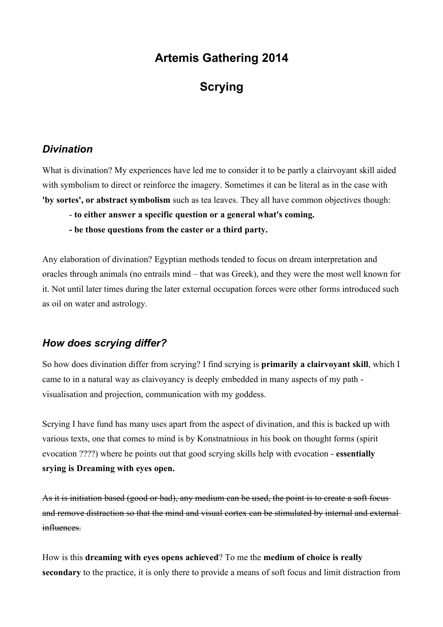# **Artemis Gathering 2014**

# **Scrying**

### *Divination*

What is divination? My experiences have led me to consider it to be partly a clairvoyant skill aided with symbolism to direct or reinforce the imagery. Sometimes it can be literal as in the case with **'by sortes', or abstract symbolism** such as tea leaves. They all have common objectives though:

- **to either answer a specific question or a general what's coming.**
- **be those questions from the caster or a third party.**

Any elaboration of divination? Egyptian methods tended to focus on dream interpretation and oracles through animals (no entrails mind – that was Greek), and they were the most well known for it. Not until later times during the later external occupation forces were other forms introduced such as oil on water and astrology.

## *How does scrying differ?*

So how does divination differ from scrying? I find scrying is **primarily a clairvoyant skill**, which I came to in a natural way as claivoyancy is deeply embedded in many aspects of my path visualisation and projection, communication with my goddess.

Scrying I have fund has many uses apart from the aspect of divination, and this is backed up with various texts, one that comes to mind is by Konstnatnious in his book on thought forms (spirit evocation ????) where he points out that good scrying skills help with evocation - **essentially srying is Dreaming with eyes open.**

As it is initiation based (good or bad), any medium can be used, the point is to create a soft focus and remove distraction so that the mind and visual cortex can be stimulated by internal and external influences.

How is this **dreaming with eyes opens achieved**? To me the **medium of choice is really secondary** to the practice, it is only there to provide a means of soft focus and limit distraction from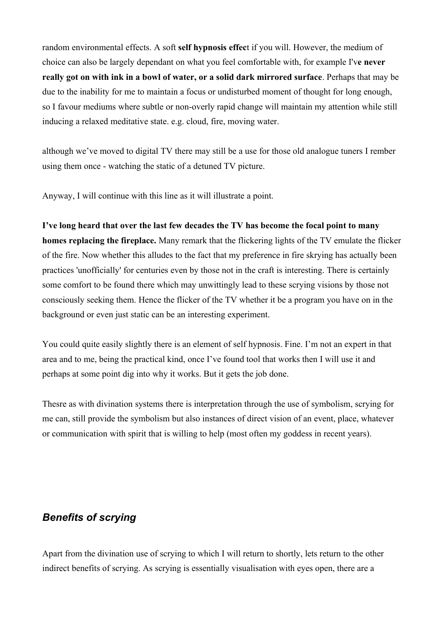random environmental effects. A soft **self hypnosis effec**t if you will. However, the medium of choice can also be largely dependant on what you feel comfortable with, for example I'v**e never really got on with ink in a bowl of water, or a solid dark mirrored surface**. Perhaps that may be due to the inability for me to maintain a focus or undisturbed moment of thought for long enough, so I favour mediums where subtle or non-overly rapid change will maintain my attention while still inducing a relaxed meditative state. e.g. cloud, fire, moving water.

although we've moved to digital TV there may still be a use for those old analogue tuners I rember using them once - watching the static of a detuned TV picture.

Anyway, I will continue with this line as it will illustrate a point.

**I've long heard that over the last few decades the TV has become the focal point to many homes replacing the fireplace.** Many remark that the flickering lights of the TV emulate the flicker of the fire. Now whether this alludes to the fact that my preference in fire skrying has actually been practices 'unofficially' for centuries even by those not in the craft is interesting. There is certainly some comfort to be found there which may unwittingly lead to these scrying visions by those not consciously seeking them. Hence the flicker of the TV whether it be a program you have on in the background or even just static can be an interesting experiment.

You could quite easily slightly there is an element of self hypnosis. Fine. I'm not an expert in that area and to me, being the practical kind, once I've found tool that works then I will use it and perhaps at some point dig into why it works. But it gets the job done.

Thesre as with divination systems there is interpretation through the use of symbolism, scrying for me can, still provide the symbolism but also instances of direct vision of an event, place, whatever or communication with spirit that is willing to help (most often my goddess in recent years).

### *Benefits of scrying*

Apart from the divination use of scrying to which I will return to shortly, lets return to the other indirect benefits of scrying. As scrying is essentially visualisation with eyes open, there are a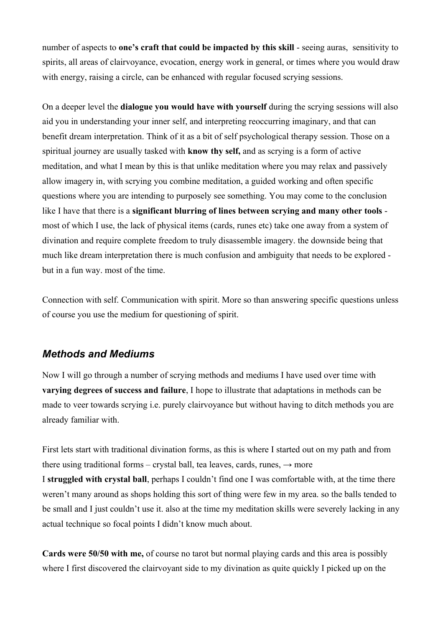number of aspects to **one's craft that could be impacted by this skill** - seeing auras, sensitivity to spirits, all areas of clairvoyance, evocation, energy work in general, or times where you would draw with energy, raising a circle, can be enhanced with regular focused scrying sessions.

On a deeper level the **dialogue you would have with yourself** during the scrying sessions will also aid you in understanding your inner self, and interpreting reoccurring imaginary, and that can benefit dream interpretation. Think of it as a bit of self psychological therapy session. Those on a spiritual journey are usually tasked with **know thy self,** and as scrying is a form of active meditation, and what I mean by this is that unlike meditation where you may relax and passively allow imagery in, with scrying you combine meditation, a guided working and often specific questions where you are intending to purposely see something. You may come to the conclusion like I have that there is a **significant blurring of lines between scrying and many other tools**  most of which I use, the lack of physical items (cards, runes etc) take one away from a system of divination and require complete freedom to truly disassemble imagery. the downside being that much like dream interpretation there is much confusion and ambiguity that needs to be explored but in a fun way. most of the time.

Connection with self. Communication with spirit. More so than answering specific questions unless of course you use the medium for questioning of spirit.

#### *Methods and Mediums*

Now I will go through a number of scrying methods and mediums I have used over time with **varying degrees of success and failure**, I hope to illustrate that adaptations in methods can be made to veer towards scrying i.e. purely clairvoyance but without having to ditch methods you are already familiar with.

First lets start with traditional divination forms, as this is where I started out on my path and from there using traditional forms – crystal ball, tea leaves, cards, runes,  $\rightarrow$  more

I **struggled with crystal ball**, perhaps I couldn't find one I was comfortable with, at the time there weren't many around as shops holding this sort of thing were few in my area. so the balls tended to be small and I just couldn't use it. also at the time my meditation skills were severely lacking in any actual technique so focal points I didn't know much about.

**Cards were 50/50 with me,** of course no tarot but normal playing cards and this area is possibly where I first discovered the clairvoyant side to my divination as quite quickly I picked up on the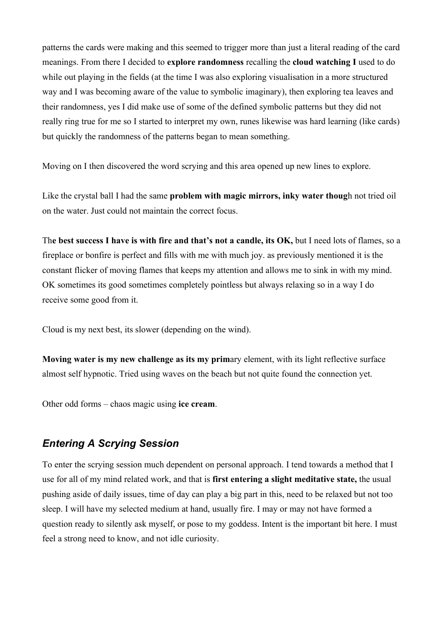patterns the cards were making and this seemed to trigger more than just a literal reading of the card meanings. From there I decided to **explore randomness** recalling the **cloud watching I** used to do while out playing in the fields (at the time I was also exploring visualisation in a more structured way and I was becoming aware of the value to symbolic imaginary), then exploring tea leaves and their randomness, yes I did make use of some of the defined symbolic patterns but they did not really ring true for me so I started to interpret my own, runes likewise was hard learning (like cards) but quickly the randomness of the patterns began to mean something.

Moving on I then discovered the word scrying and this area opened up new lines to explore.

Like the crystal ball I had the same **problem with magic mirrors, inky water thoug**h not tried oil on the water. Just could not maintain the correct focus.

Th**e best success I have is with fire and that's not a candle, its OK,** but I need lots of flames, so a fireplace or bonfire is perfect and fills with me with much joy. as previously mentioned it is the constant flicker of moving flames that keeps my attention and allows me to sink in with my mind. OK sometimes its good sometimes completely pointless but always relaxing so in a way I do receive some good from it.

Cloud is my next best, its slower (depending on the wind).

**Moving water is my new challenge as its my prim**ary element, with its light reflective surface almost self hypnotic. Tried using waves on the beach but not quite found the connection yet.

Other odd forms – chaos magic using **ice cream**.

## *Entering A Scrying Session*

To enter the scrying session much dependent on personal approach. I tend towards a method that I use for all of my mind related work, and that is **first entering a slight meditative state,** the usual pushing aside of daily issues, time of day can play a big part in this, need to be relaxed but not too sleep. I will have my selected medium at hand, usually fire. I may or may not have formed a question ready to silently ask myself, or pose to my goddess. Intent is the important bit here. I must feel a strong need to know, and not idle curiosity.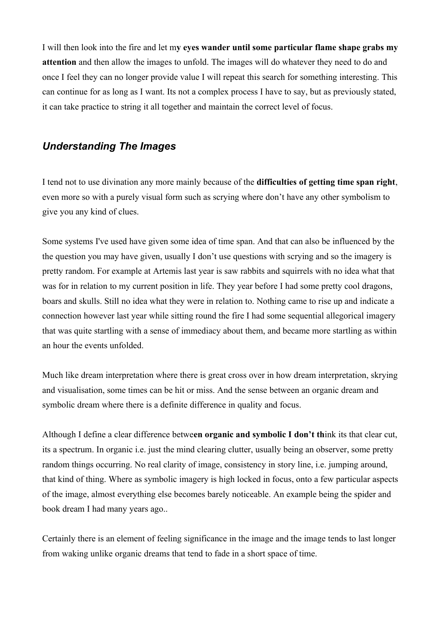I will then look into the fire and let m**y eyes wander until some particular flame shape grabs my attention** and then allow the images to unfold. The images will do whatever they need to do and once I feel they can no longer provide value I will repeat this search for something interesting. This can continue for as long as I want. Its not a complex process I have to say, but as previously stated, it can take practice to string it all together and maintain the correct level of focus.

### *Understanding The Images*

I tend not to use divination any more mainly because of the **difficulties of getting time span right**, even more so with a purely visual form such as scrying where don't have any other symbolism to give you any kind of clues.

Some systems I've used have given some idea of time span. And that can also be influenced by the the question you may have given, usually I don't use questions with scrying and so the imagery is pretty random. For example at Artemis last year is saw rabbits and squirrels with no idea what that was for in relation to my current position in life. They year before I had some pretty cool dragons, boars and skulls. Still no idea what they were in relation to. Nothing came to rise up and indicate a connection however last year while sitting round the fire I had some sequential allegorical imagery that was quite startling with a sense of immediacy about them, and became more startling as within an hour the events unfolded.

Much like dream interpretation where there is great cross over in how dream interpretation, skrying and visualisation, some times can be hit or miss. And the sense between an organic dream and symbolic dream where there is a definite difference in quality and focus.

Although I define a clear difference betwe**en organic and symbolic I don't th**ink its that clear cut, its a spectrum. In organic i.e. just the mind clearing clutter, usually being an observer, some pretty random things occurring. No real clarity of image, consistency in story line, i.e. jumping around, that kind of thing. Where as symbolic imagery is high locked in focus, onto a few particular aspects of the image, almost everything else becomes barely noticeable. An example being the spider and book dream I had many years ago..

Certainly there is an element of feeling significance in the image and the image tends to last longer from waking unlike organic dreams that tend to fade in a short space of time.